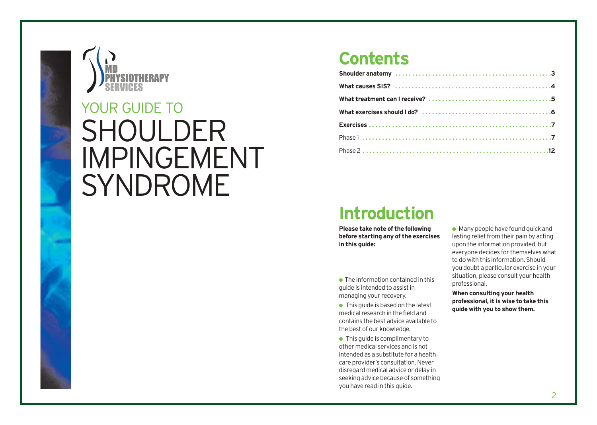

# SHOULDER IMPINGEMENT SYNDROME YOUR GUIDE TO

## **Contents**

# **Introduction**

**Please take note of the following before starting any of the exercises in this guide:**

- $\bullet$  The information contained in this guide is intended to assist in managing your recovery.
- $\bullet$  This quide is based on the latest medical research in the field and contains the best advice available to the best of our knowledge.
- This quide is complimentary to other medical services and is not intended as a substitute for a health care provider's consultation. Never disregard medical advice or delay in seeking advice because of something you have read in this guide.

 $\bullet$  Many people have found quick and lasting relief from their pain by acting upon the information provided, but everyone decides for themselves what to do with this information. Should you doubt a particular exercise in your situation, please consult your health professional.

**When consulting your health professional, it is wise to take this guide with you to show them.**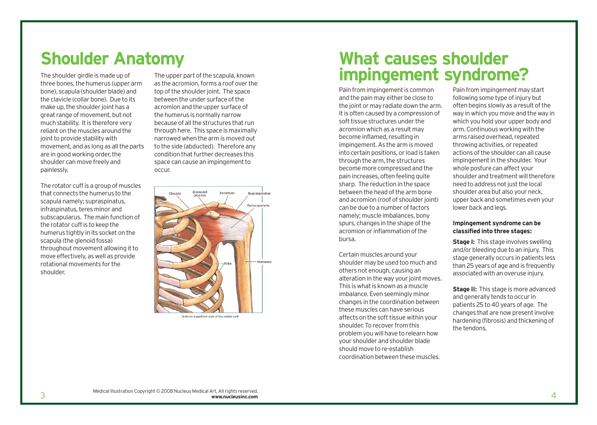# **Shoulder Anatomy**

The shoulder girdle is made up of three bones, the humerus (upper arm bone), scapula (shoulder blade) and the clavicle (collar bone). Due to its make up, the shoulder joint has a great range of movement, but not much stability. It is therefore very reliant on the muscles around the joint to provide stability with movement, and as long as all the parts are in good working order, the shoulder can move freely and painlessly.

The rotator cuff is a group of muscles that connects the humerus to the scapula namely; supraspinatus, infraspinatus, teres minor and subscapularus. The main function of the rotator cuff is to keep the humerus tightly in its socket on the scapula (the glenoid fossa) throughout movement allowing it to move effectively, as well as provide rotational movements for the shoulder.

The upper part of the scapula, known as the acromion, forms a roof over the top of the shoulder joint. The space between the under surface of the acromion and the upper surface of the humerus is normally narrow because of all the structures that run through here. This space is maximally narrowed when the arm is moved out to the side (abducted). Therefore any condition that further decreases this space can cause an impingement to occur.



Anterior superficial view of the rotator cuff

## **What causes shoulder impingement syndrome?**

Pain from impingement is common and the pain may either be close to the joint or may radiate down the arm. It is often caused by a compression of soft tissue structures under the acromion which as a result may become inflamed, resulting in impingement. As the arm is moved into certain positions, or load is taken through the arm, the structures become more compressed and the pain increases, often feeling quite sharp. The reduction in the space between the head of the arm bone and acromion (roof of shoulder joint) can be due to a number of factors namely; muscle imbalances, bony spurs, changes in the shape of the acromion or inflammation of the bursa.

Certain muscles around your shoulder may be used too much and others not enough, causing an alteration in the way your joint moves. This is what is known as a muscle imbalance. Even seemingly minor changes in the coordination between these muscles can have serious affects on the soft tissue within your shoulder. To recover from this problem you will have to relearn how your shoulder and shoulder blade should move to re-establish coordination between these muscles.

Pain from impingement may start following some type of injury but often begins slowly as a result of the way in which you move and the way in which you hold your upper body and arm. Continuous working with the arms raised overhead, repeated throwing activities, or repeated actions of the shoulder can all cause impingement in the shoulder. Your whole posture can affect your shoulder and treatment will therefore need to address not just the local shoulder area but also your neck, upper back and sometimes even your lower back and legs.

### **Impingement syndrome can be classified into three stages:**

**Stage I:** This stage involves swelling and/or bleeding due to an injury. This stage generally occurs in patients less than 25 years of age and is frequently associated with an overuse injury.

**Stage II:** This stage is more advanced and generally tends to occur in patients 25 to 40 years of age. The changes that are now present involve hardening (fibrosis) and thickening of the tendons.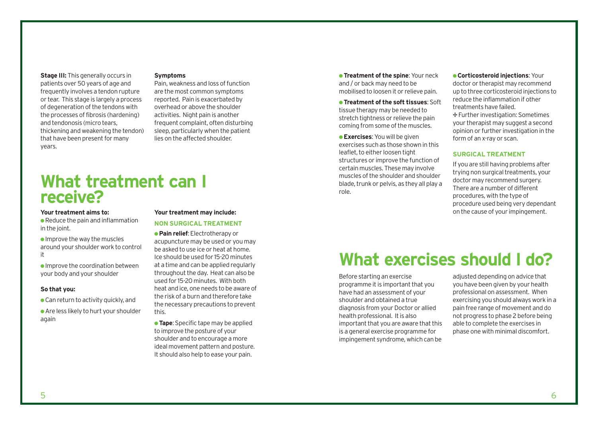### **Stage III:** This generally occurs in patients over 50 years of age and frequently involves a tendon rupture or tear. This stage is largely a process of degeneration of the tendons with the processes of fibrosis (hardening) and tendonosis (micro tears, thickening and weakening the tendon) that have been present for many years.

### **Symptoms**

Pain, weakness and loss of function are the most common symptoms reported. Pain is exacerbated by overhead or above the shoulder activities. Night pain is another frequent complaint, often disturbing sleep, particularly when the patient lies on the affected shoulder.

# **What treatment can I receive?**

#### **Your treatment aims to:**

 $\bullet$  Reduce the pain and inflammation in the joint.

 $\bullet$  Improve the way the muscles around your shoulder work to control it

 $\bullet$  Improve the coordination between your body and your shoulder

### **So that you:**

 $\bullet$  Can return to activity quickly, and

● Are less likely to hurt your shoulder again

#### **Your treatment may include:**

#### **NON SURGICAL TREATMENT**

● **Pain relief**: Electrotherapy or acupuncture may be used or you may be asked to use ice or heat at home. Ice should be used for 15-20 minutes at a time and can be applied regularly throughout the day. Heat can also be used for 15-20 minutes. With both heat and ice, one needs to be aware of the risk of a burn and therefore take the necessary precautions to prevent this.

**• Tape:** Specific tape may be applied to improve the posture of your shoulder and to encourage a more ideal movement pattern and posture. It should also help to ease your pain.

**• Treatment of the spine: Your neck** and / or back may need to be mobilised to loosen it or relieve pain.

● **Treatment of the soft tissues**: Soft tissue therapy may be needed to stretch tightness or relieve the pain coming from some of the muscles.

● **Exercises**: You will be given exercises such as those shown in this leaflet, to either loosen tight structures or improve the function of certain muscles. These may involve muscles of the shoulder and shoulder blade, trunk or pelvis, as they all play a role.

● **Corticosteroid injections**: Your doctor or therapist may recommend up to three corticosteroid injections to reduce the inflammation if other treatments have failed. ∑ Further investigation: Sometimes your therapist may suggest a second opinion or further investigation in the form of an x-ray or scan.

### **SURGICAL TREATMENT**

If you are still having problems after trying non surgical treatments, your doctor may recommend surgery. There are a number of different procedures, with the type of procedure used being very dependant on the cause of your impingement.

# **What exercises should I do?**

Before starting an exercise programme it is important that you have had an assessment of your shoulder and obtained a true diagnosis from your Doctor or allied health professional. It is also important that you are aware that this is a general exercise programme for impingement syndrome, which can be

adjusted depending on advice that you have been given by your health professional on assessment. When exercising you should always work in a pain free range of movement and do not progress to phase 2 before being able to complete the exercises in phase one with minimal discomfort.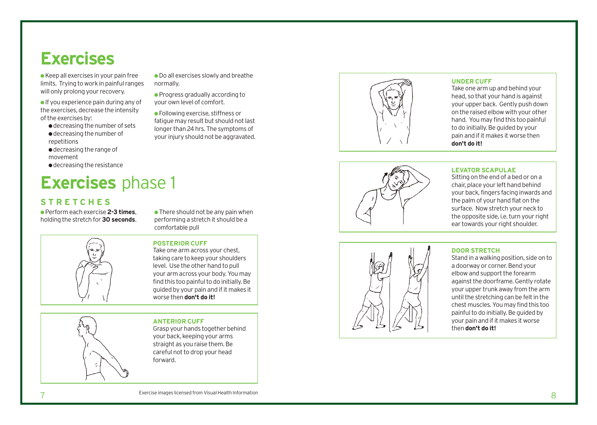# **Exercises**

● Keep all exercises in your pain free limits. Trying to work in painful ranges will only prolong your recovery.

 $\bullet$  If you experience pain during any of the exercises, decrease the intensity of the exercises by:

- decreasing the number of sets ● decreasing the number of
- repetitions ● decreasing the range of
- movement
- decreasing the resistance

# **Exercises** phase 1

## **STRETCHES**

● Perform each exercise **2-3 times** , holding the stretch for **30 seconds**.



 $\bullet$  There should not be any pain when performing a stretch it should be a comfortable pull

● Do all exercises slowly and breathe

● Progress gradually according to your own level of comfort.

● Following exercise, stiffness or fatigue may result but should not last longer than 24 hrs. The symptoms of your injury should not be aggravated.

normally.

### **POSTERIOR CUFF**

Take one arm across your chest, taking care to keep your shoulders le vel. Use the other hand to pull your arm acr o ss your body. You may find this too painful to do initially. Be guided by your pain and if it mak es it worse then **don't do it!**

**ANTERIOR CUFF**

Grasp your hands together behind your back, keeping your arms straight as you raise them. Be careful not to drop your head forward.





### **UNDER CUFF**

Take one arm up and behind your head, so that your hand is against your upper back. Gently push down on the raised elbow with your other hand. You may find this too painful to do initially. Be guided by your pain and if it makes it worse then **don't do it!**

### **LEVATOR SCAPULAE**

Sitting on the end of a bed or on a chair, place your left hand behind your back, fingers facing inwards and the palm of your hand flat on the surface. Now stretch your neck to the opposite side, i.e. turn your right ear towards your right shoulder.



### **DOOR STRETCH**

Stand in a walking position, side on to a doorway or corner. Bend your elbow and support the for earm against the doorframe. Gently rotate your upper trunk away from the arm until the stretching can be felt in the chest muscles. You may find this too painful to do initially. Be guided by your pain and if it makes it worse then **don 't do it!**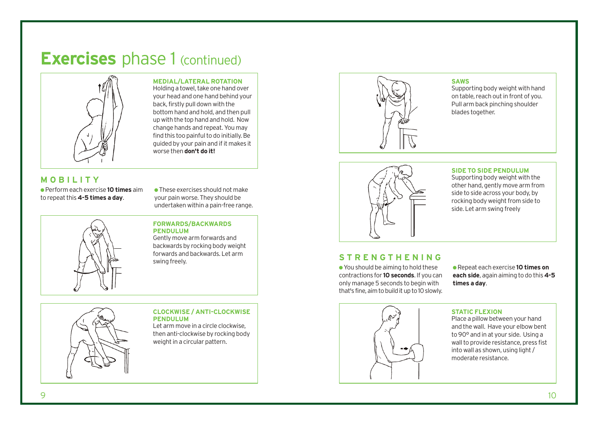

**MEDIAL/LATERAL ROTATION** 

Holding a towel, take one hand over your head and one hand behind your back, firstly pull down with the bottom hand and hold, and then pull up with the top hand and hold. Now change hands and repeat. You may find this too painful to do initially. Be guided by your pain and if it makes it worse then **don't do it!**

### **MOBILITY**

● Perform each exercise **10 times** aim to repeat this **4-5 times a day**.

 $\bullet$  These exercises should not make your pain worse. They should be undertaken within a pain-free range.

### **FORWARDS/BACKWARDS PENDULUM**

Gently move arm forwards and backwards by rocking body weight forwards and backwards. Let arm swing freely.



### **CLOCKWISE / ANTI-CLOCKWISE PENDULUM**

Let arm move in a circle clockwise, then anti-clockwise by rocking body weight in a circular pattern.



#### **SAWS**

Supporting body weight with hand on table, reach out in front of you. Pull arm back pinching shoulder blades together.



### **SIDE TO SIDE PENDULUM**

Supporting body weight with the other hand, gently move arm from side to side across your body, by rocking body weight from side to side. Let arm swing freely

### **STRENGTHENING**

● You should be aiming to hold these contractions for **10 seconds**. If you can only manage 5 seconds to begin with that's fine, aim to build it up to 10 slowly.

● Repeat each exercise **10 times on each side**, again aiming to do this **4-5 times a day**.

### **STATIC FLEXION**

Place a pillow between your hand and the wall. Have your elbow bent to 90° and in at your side. Using a wall to provide resistance, press fist into wall as shown, using light / moderate resistance.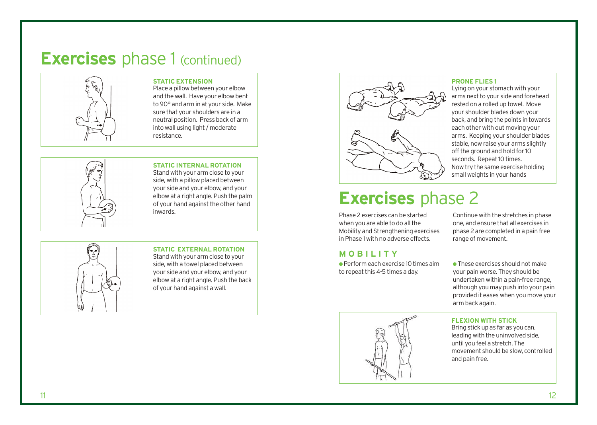

### **STATIC EXTENSION**

Place a pillow between your elbow and the wall. Have your elbow bent to 90° and arm in at your side. Make sure that your shoulders are in a neutral position. Press back of arm into wall using light / moderate resistance.

### **STATIC INTERNAL ROTATION**

Stand with your arm close to your side, with a pillow placed between your side and your elbow, and your elbow at a right angle. Push the palm of your hand against the other hand inwards.

### **STATIC EXTERNAL ROTATION** Stand with your arm close to your side, with a towel placed between your side and your elbow, and your elbow at a right angle. Push the back of your hand against a wall.



#### **PRONE FLIES 1**

Lying on your stomach with your arms next to your side and forehead rested on a rolled up towel. Move your shoulder blades down your back, and bring the points in towards each other with out moving your arms. Keeping your shoulder blades stable, now raise your arms slightly off the ground and hold for 10 seconds. Repeat 10 times. Now try the same exercise holding small weights in your hands

# **Exercises** phase 2

Phase 2 exercises can be started when you are able to do all the Mobility and Strengthening exercises in Phase 1 with no adverse effects.

### **MOBILITY**

 $\bullet$  Perform each exercise 10 times aim to repeat this 4-5 times a day.

Continue with the stretches in phase one, and ensure that all exercises in phase 2 are completed in a pain free range of movement.

● These exercises should not make your pain worse. They should be undertaken within a pain-free range, although you may push into your pain provided it eases when you move your arm back again.

### **FLEXION WITH STICK**

Bring stick up as far as you can, leading with the uninvolved side, until you feel a stretch. The movement should be slow, controlled and pain free.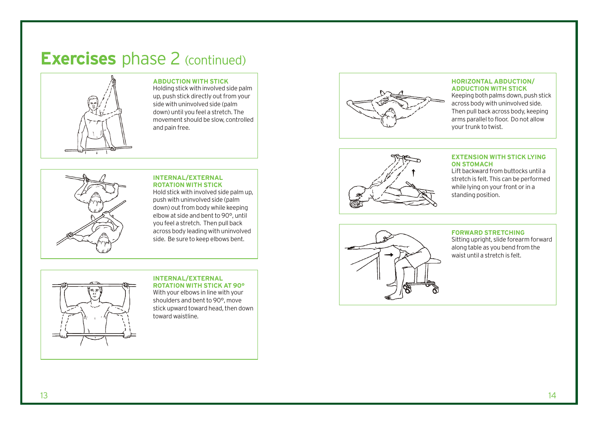

### **ABDUCTION WITH STICK**

Holding stick with involved side palm up, push stick directly out from your side with uninvolved side (palm down) until you feel a stretch. The movement should be slow, controlled and pain free.



#### **INTERNAL/EXTERNAL ROTATION WITH STICK**

Hold stick with involved side palm up, push with uninvolved side (palm down) out from body while keeping elbow at side and bent to 90°, until you feel a stretch. Then pull back across body leading with uninvolved side. Be sure to keep elbows bent.



### **INTERNAL/EXTERNAL**

**ROTATION WITH STICK AT 90°**  With your elbows in line with your shoulders and bent to 90°, move stick upward toward head, then down toward waistline.



#### **HORIZONTAL ABDUCTION/ ADDUCTION WITH STICK**

Keeping both palms down, push stick across body with uninvolved side. Then pull back across body, keeping arms parallel to floor. Do not allow your trunk to twist.



### **EXTENSION WITH STICK LYING ON STOMACH**

Lift backward from buttocks until a stretch is felt. This can be performed while lying on your front or in a standing position.



### **FORWARD STRETCHING**

Sitting upright, slide forearm forward along table as you bend from the waist until a stretch is felt.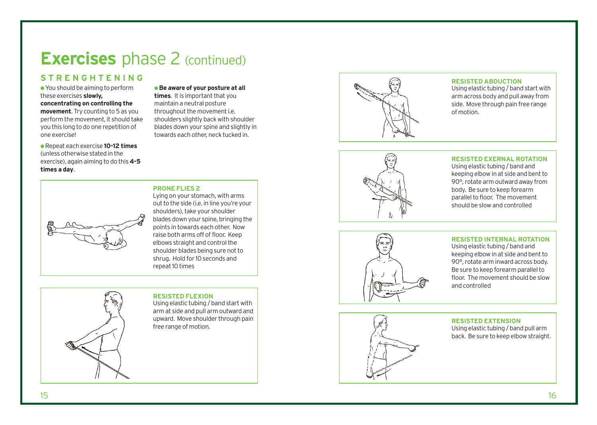## **STRENGHTENING**

● You should be aiming to perform these exercises **slowly, concentrating on controlling the movement**. Try counting to 5 as you perform the movement, it should take you this long to do one repetition of one exercise!

● Repeat each exercise **10-12 times** (unless otherwise stated in the exercise), again aiming to do this **4-5 times a day** .

● **Be aware of your posture at all times**. It is important that you maintain a neutral posture throughout the movement i.e. shoulders slightly back with shoulder blades down your spine and slightly in towards each other, neck tucked in.



### **RESISTED ABDUCTION**

Using elastic tubing / band start with arm across body and pull away from side. Move through pain free range of motion.



### **RESISTED EXERNAL ROTATION**

Using elastic tubing / band and keeping elbow in at side and bent to 90°, rotate arm outward away from body. Be sure to keep forearm parallel to floor. The movement should be slow and controlled

### **RESISTED INTERNAL ROTATION**

Using elastic tubing / band and keeping elbow in at side and bent to 90°, rotate arm inward across body. Be sure to keep forearm parallel to floor. The movement should be slow and controlled





### **RESISTED EXTENSION**

Using elastic tubing / band pull arm back. Be sure to keep elbow straight.



## **PRONE FLIES 2**

Lying on your stomach, with arms out to the side (i.e. in line you're your shoulders), take your shoulder blades down your spine, bringing the poin ts in towards each other. Now raise both arms off of floor. Keep elbo ws straight and control the shoulder blades being sure not to shrug. Hold for 10 seconds and repeat 10 times

### **RESISTED FLEXION**  Using elastic tubing / band start with

arm at side and pull arm out ward and up ward. Move shoulder through pain free range of motion.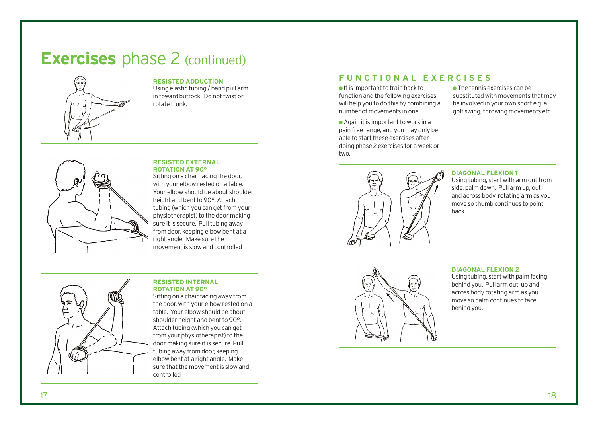

### **RESISTED ADDUCTION**

Using elastic tubing / band pull arm in toward buttock. Do not twist or rotate trunk.



#### **RESISTED EXTERNAL ROTATION AT 90°**

Sitting on a chair facing the door, with your elbow rested on a table. Your elbow should be about shoulder height and bent to 90°. Attach tubing (which you can get from your physiotherapist) to the door making sure it is secure. Pull tubing away from door, keeping elbow bent at a right angle. Make sure the movement is slow and controlled



#### **RESISTED INTERNAL ROTATION AT 90°**

Sitting on a chair facing away from the door, with your elbow rested on a table. Your elbow should be about shoulder height and bent to 90°. Attach tubing (which you can get from your physiotherapist) to the door making sure it is secure. Pull tubing away from door, keeping elbow bent at a right angle. Make sure that the movement is slow and controlled

### **FUNCTIONAL EXERCISES**

● It is important to train back to function and the following exercises will help you to do this by combining a number of movements in one.

 $\bullet$  Again it is important to work in a pain free range, and you may only be able to start these exercises after doing phase 2 exercises for a week or two.

 $\bullet$  The tennis exercises can be substituted with movements that may be involved in your own sport e.g. a golf swing, throwing movements etc



#### **DIAGONAL FLEXION 1**

Using tubing, start with arm out from side, palm down. Pull arm up, out and across body, rotating arm as you move so thumb continues to point back.



#### **DIAGONAL FLEXION 2**

Using tubing, start with palm facing behind you. Pull arm out, up and across body rotating arm as you move so palm continues to face behind you.